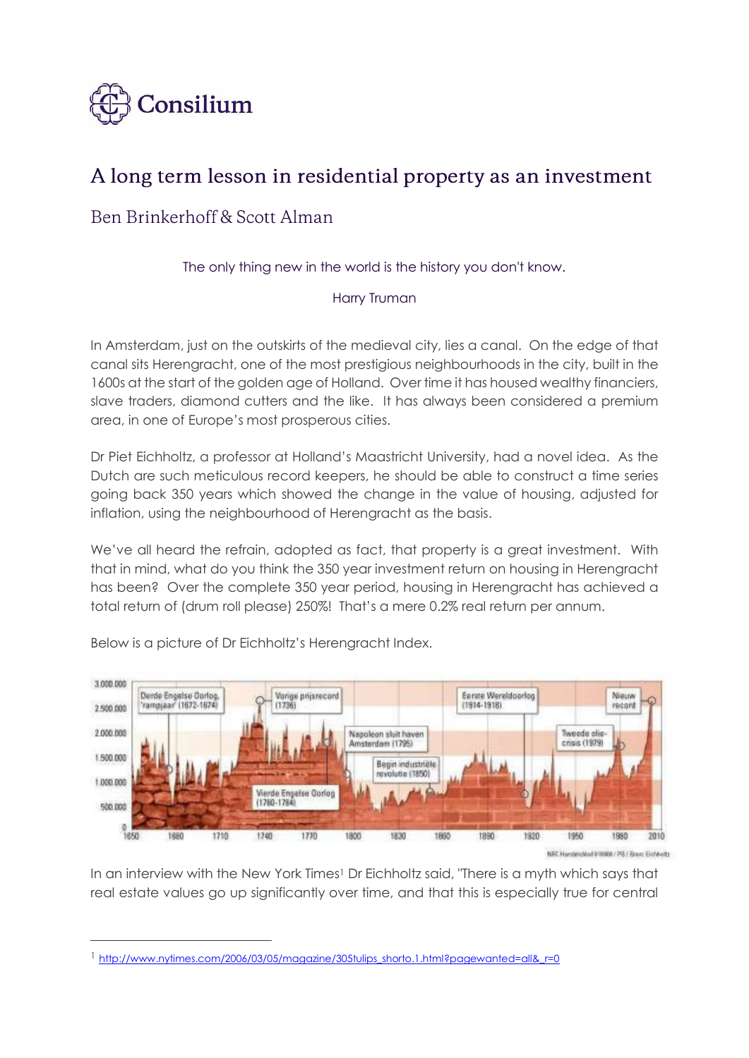

# A long term lesson in residential property as an investment

## Ben Brinkerhoff & Scott Alman

### The only thing new in the world is the history you don't know.

### Harry Truman

In Amsterdam, just on the outskirts of the medieval city, lies a canal. On the edge of that canal sits Herengracht, one of the most prestigious neighbourhoods in the city, built in the 1600s at the start of the golden age of Holland. Over time it has housed wealthy financiers, slave traders, diamond cutters and the like. It has always been considered a premium area, in one of Europe's most prosperous cities.

Dr Piet Eichholtz, a professor at Holland's Maastricht University, had a novel idea. As the Dutch are such meticulous record keepers, he should be able to construct a time series going back 350 years which showed the change in the value of housing, adjusted for inflation, using the neighbourhood of Herengracht as the basis.

We've all heard the refrain, adopted as fact, that property is a great investment. With that in mind, what do you think the 350 year investment return on housing in Herengracht has been? Over the complete 350 year period, housing in Herengracht has achieved a total return of (drum roll please) 250%! That's a mere 0.2% real return per annum.



Below is a picture of Dr Eichholtz's Herengracht Index.

 $\overline{a}$ 

NRC NandelicMad 810008 / PR / Roard Gofweltz

In an interview with the New York Times<sup>1</sup> Dr Eichholtz said, "There is a myth which says that real estate values go up significantly over time, and that this is especially true for central

 $1$  [http://www.nytimes.com/2006/03/05/magazine/305tulips\\_shorto.1.html?pagewanted=all&\\_r=0](http://www.nytimes.com/2006/03/05/magazine/305tulips_shorto.1.html?pagewanted=all&_r=0)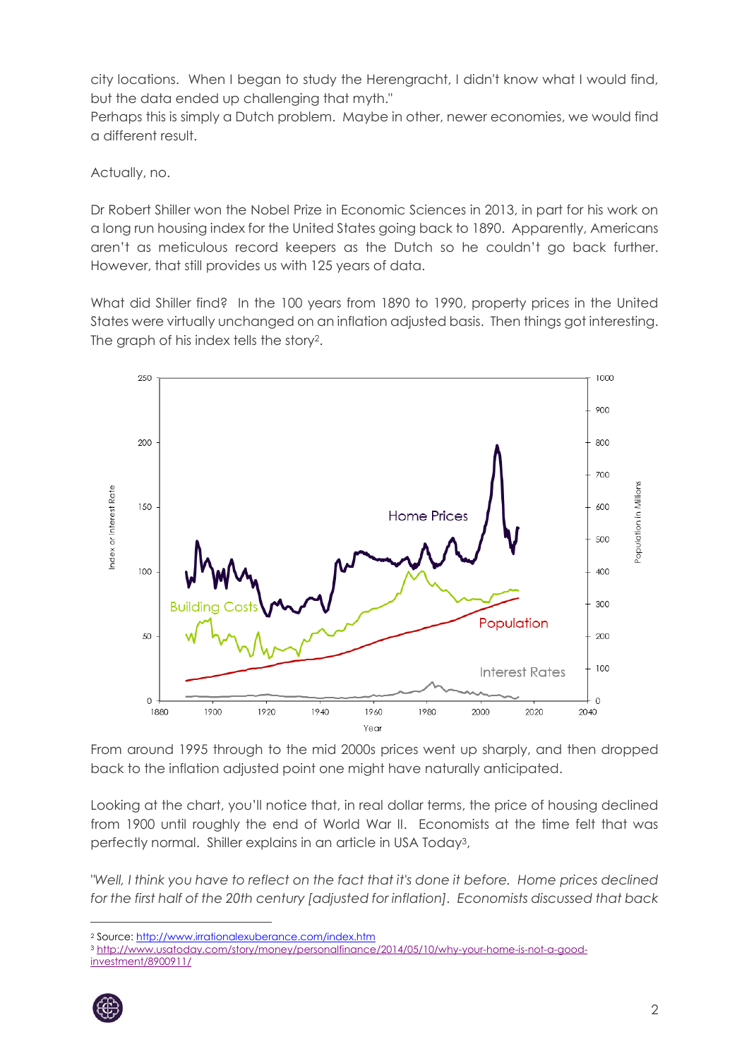city locations. When I began to study the Herengracht, I didn't know what I would find, but the data ended up challenging that myth."

Perhaps this is simply a Dutch problem. Maybe in other, newer economies, we would find a different result.

Actually, no.

Dr Robert Shiller won the Nobel Prize in Economic Sciences in 2013, in part for his work on a long run housing index for the United States going back to 1890. Apparently, Americans aren't as meticulous record keepers as the Dutch so he couldn't go back further. However, that still provides us with 125 years of data.

What did Shiller find? In the 100 years from 1890 to 1990, property prices in the United States were virtually unchanged on an inflation adjusted basis. Then things got interesting. The graph of his index tells the story2.



From around 1995 through to the mid 2000s prices went up sharply, and then dropped back to the inflation adjusted point one might have naturally anticipated.

Looking at the chart, you'll notice that, in real dollar terms, the price of housing declined from 1900 until roughly the end of World War II. Economists at the time felt that was perfectly normal. Shiller explains in an article in USA Today3,

*"Well, I think you have to reflect on the fact that it's done it before. Home prices declined for the first half of the 20th century [adjusted for inflation]. Economists discussed that back* 

<sup>3</sup> [http://www.usatoday.com/story/money/personalfinance/2014/05/10/why-your-home-is-not-a-good](http://www.usatoday.com/story/money/personalfinance/2014/05/10/why-your-home-is-not-a-good-investment/8900911/)[investment/8900911/](http://www.usatoday.com/story/money/personalfinance/2014/05/10/why-your-home-is-not-a-good-investment/8900911/)



<sup>2</sup> Source[: http://www.irrationalexuberance.com/index.htm](http://www.irrationalexuberance.com/index.htm)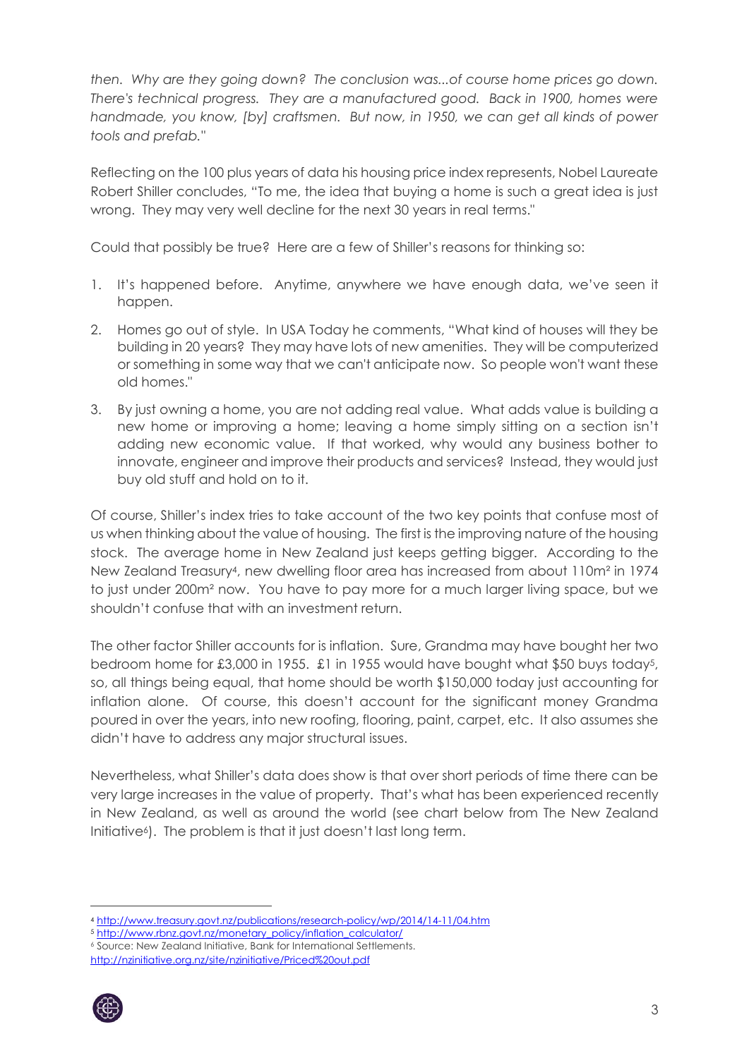*then. Why are they going down? The conclusion was...of course home prices go down. There's technical progress. They are a manufactured good. Back in 1900, homes were handmade, you know, [by] craftsmen. But now, in 1950, we can get all kinds of power tools and prefab."*

Reflecting on the 100 plus years of data his housing price index represents, Nobel Laureate Robert Shiller concludes, "To me, the idea that buying a home is such a great idea is just wrong. They may very well decline for the next 30 years in real terms."

Could that possibly be true? Here are a few of Shiller's reasons for thinking so:

- 1. It's happened before. Anytime, anywhere we have enough data, we've seen it happen.
- 2. Homes go out of style. In USA Today he comments, "What kind of houses will they be building in 20 years? They may have lots of new amenities. They will be computerized or something in some way that we can't anticipate now. So people won't want these old homes."
- 3. By just owning a home, you are not adding real value. What adds value is building a new home or improving a home; leaving a home simply sitting on a section isn't adding new economic value. If that worked, why would any business bother to innovate, engineer and improve their products and services? Instead, they would just buy old stuff and hold on to it.

Of course, Shiller's index tries to take account of the two key points that confuse most of us when thinking about the value of housing. The first is the improving nature of the housing stock. The average home in New Zealand just keeps getting bigger. According to the New Zealand Treasury4, new dwelling floor area has increased from about 110m² in 1974 to just under 200m² now. You have to pay more for a much larger living space, but we shouldn't confuse that with an investment return.

The other factor Shiller accounts for is inflation. Sure, Grandma may have bought her two bedroom home for £3,000 in 1955. £1 in 1955 would have bought what \$50 buys today5, so, all things being equal, that home should be worth \$150,000 today just accounting for inflation alone. Of course, this doesn't account for the significant money Grandma poured in over the years, into new roofing, flooring, paint, carpet, etc. It also assumes she didn't have to address any major structural issues.

Nevertheless, what Shiller's data does show is that over short periods of time there can be very large increases in the value of property. That's what has been experienced recently in New Zealand, as well as around the world (see chart below from The New Zealand Initiative<sup>6</sup>). The problem is that it just doesn't last long term.

<http://nzinitiative.org.nz/site/nzinitiative/Priced%20out.pdf>



<sup>4</sup> <http://www.treasury.govt.nz/publications/research-policy/wp/2014/14-11/04.htm>

<sup>5</sup> [http://www.rbnz.govt.nz/monetary\\_policy/inflation\\_calculator/](http://www.rbnz.govt.nz/monetary_policy/inflation_calculator/)

<sup>6</sup> Source: New Zealand Initiative, Bank for International Settlements.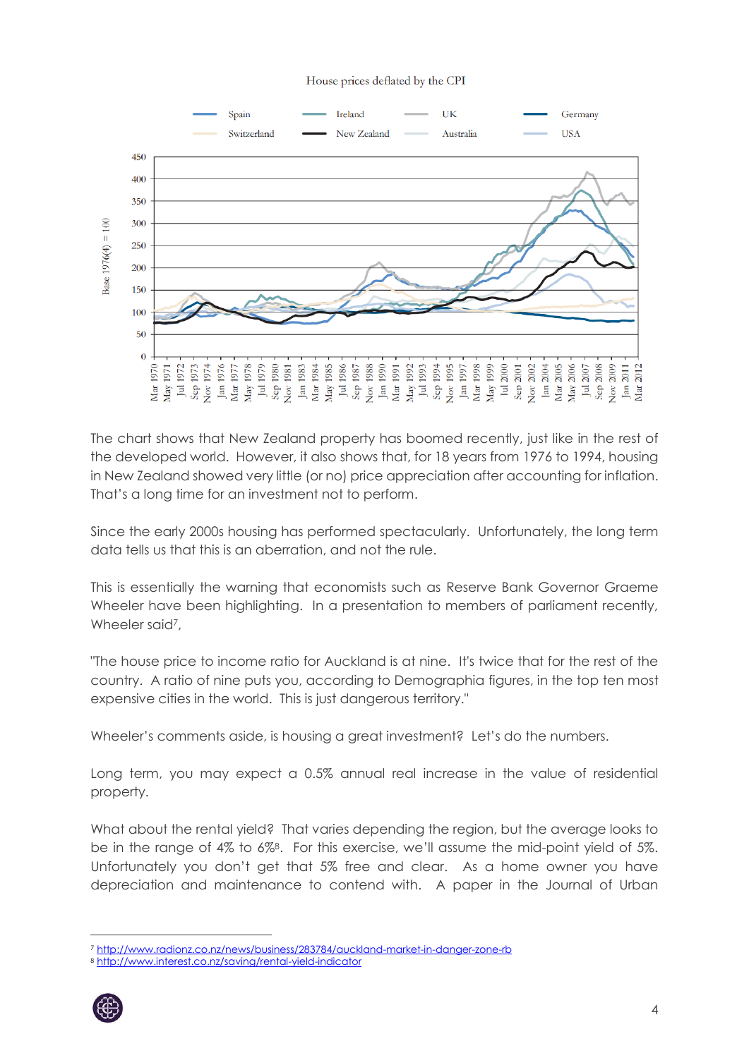#### House prices deflated by the CPI



The chart shows that New Zealand property has boomed recently, just like in the rest of the developed world. However, it also shows that, for 18 years from 1976 to 1994, housing in New Zealand showed very little (or no) price appreciation after accounting for inflation. That's a long time for an investment not to perform.

Since the early 2000s housing has performed spectacularly. Unfortunately, the long term data tells us that this is an aberration, and not the rule.

This is essentially the warning that economists such as Reserve Bank Governor Graeme Wheeler have been highlighting. In a presentation to members of parliament recently, Wheeler said<sup>7</sup>,

"The house price to income ratio for Auckland is at nine. It's twice that for the rest of the country. A ratio of nine puts you, according to Demographia figures, in the top ten most expensive cities in the world. This is just dangerous territory."

Wheeler's comments aside, is housing a great investment? Let's do the numbers.

Long term, you may expect a 0.5% annual real increase in the value of residential property.

What about the rental yield? That varies depending the region, but the average looks to be in the range of 4% to 6%8. For this exercise, we'll assume the mid-point yield of 5%. Unfortunately you don't get that 5% free and clear. As a home owner you have depreciation and maintenance to contend with. A paper in the Journal of Urban

<sup>8</sup> <http://www.interest.co.nz/saving/rental-yield-indicator>



<sup>7</sup> <http://www.radionz.co.nz/news/business/283784/auckland-market-in-danger-zone-rb>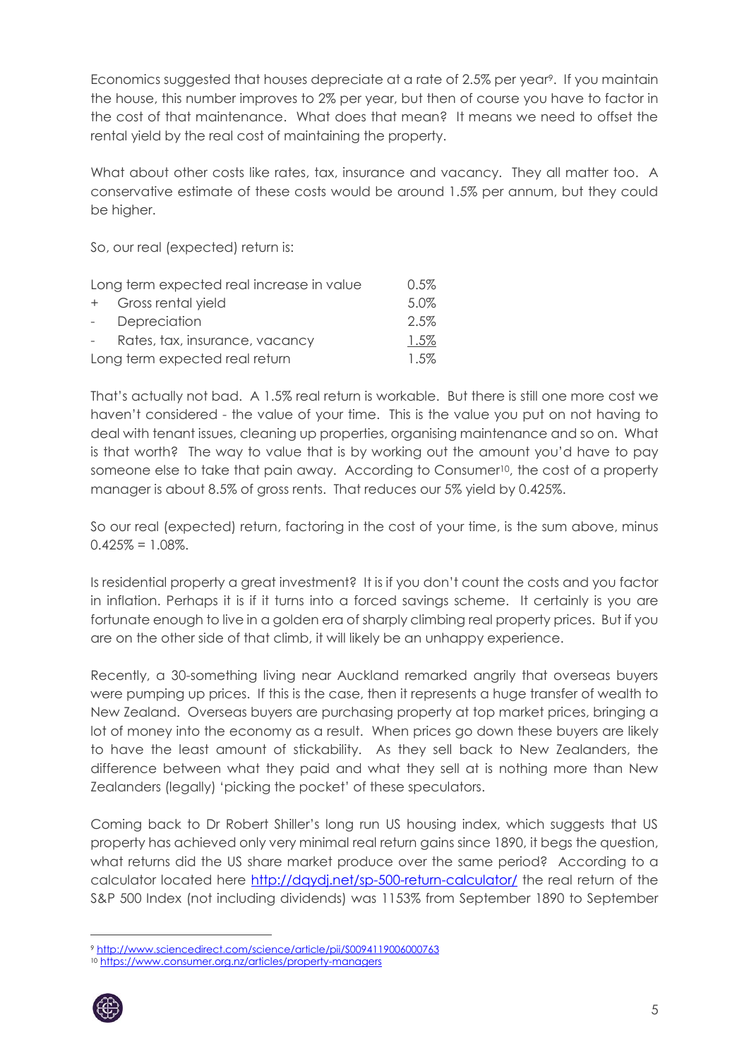Economics suggested that houses depreciate at a rate of 2.5% per year<sup>9</sup>. If you maintain the house, this number improves to 2% per year, but then of course you have to factor in the cost of that maintenance. What does that mean? It means we need to offset the rental yield by the real cost of maintaining the property.

What about other costs like rates, tax, insurance and vacancy. They all matter too. A conservative estimate of these costs would be around 1.5% per annum, but they could be higher.

So, our real (expected) return is:

| Long term expected real increase in value |                                | $0.5\%$ |
|-------------------------------------------|--------------------------------|---------|
|                                           | + Gross rental yield           | 5.0%    |
| $\sim 10^{-11}$                           | Depreciation                   | 2.5%    |
| $\sim$ 10 $\pm$                           | Rates, tax, insurance, vacancy | 1.5%    |
| Long term expected real return            |                                | $1.5\%$ |

That's actually not bad. A 1.5% real return is workable. But there is still one more cost we haven't considered - the value of your time. This is the value you put on not having to deal with tenant issues, cleaning up properties, organising maintenance and so on. What is that worth? The way to value that is by working out the amount you'd have to pay someone else to take that pain away. According to Consumer<sup>10</sup>, the cost of a property manager is about 8.5% of gross rents. That reduces our 5% yield by 0.425%.

So our real (expected) return, factoring in the cost of your time, is the sum above, minus  $0.425\% = 1.08\%$ .

Is residential property a great investment? It is if you don't count the costs and you factor in inflation. Perhaps it is if it turns into a forced savings scheme. It certainly is you are fortunate enough to live in a golden era of sharply climbing real property prices. But if you are on the other side of that climb, it will likely be an unhappy experience.

Recently, a 30-something living near Auckland remarked angrily that overseas buyers were pumping up prices. If this is the case, then it represents a huge transfer of wealth to New Zealand. Overseas buyers are purchasing property at top market prices, bringing a lot of money into the economy as a result. When prices go down these buyers are likely to have the least amount of stickability. As they sell back to New Zealanders, the difference between what they paid and what they sell at is nothing more than New Zealanders (legally) 'picking the pocket' of these speculators.

Coming back to Dr Robert Shiller's long run US housing index, which suggests that US property has achieved only very minimal real return gains since 1890, it begs the question, what returns did the US share market produce over the same period? According to a calculator located here<http://dqydj.net/sp-500-return-calculator/> the real return of the S&P 500 Index (not including dividends) was 1153% from September 1890 to September

<sup>10</sup> <https://www.consumer.org.nz/articles/property-managers>



<sup>9</sup> <http://www.sciencedirect.com/science/article/pii/S0094119006000763>